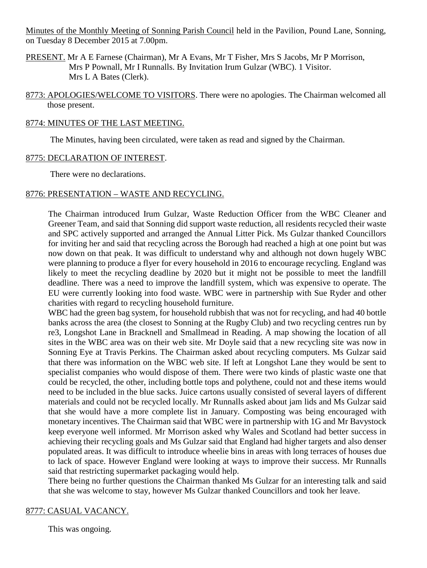Minutes of the Monthly Meeting of Sonning Parish Council held in the Pavilion, Pound Lane, Sonning, on Tuesday 8 December 2015 at 7.00pm.

- PRESENT. Mr A E Farnese (Chairman), Mr A Evans, Mr T Fisher, Mrs S Jacobs, Mr P Morrison, Mrs P Pownall, Mr I Runnalls. By Invitation Irum Gulzar (WBC). 1 Visitor. Mrs L A Bates (Clerk).
- 8773: APOLOGIES/WELCOME TO VISITORS. There were no apologies. The Chairman welcomed all those present.

#### 8774: MINUTES OF THE LAST MEETING.

The Minutes, having been circulated, were taken as read and signed by the Chairman.

## 8775: DECLARATION OF INTEREST.

There were no declarations.

## 8776: PRESENTATION – WASTE AND RECYCLING.

The Chairman introduced Irum Gulzar, Waste Reduction Officer from the WBC Cleaner and Greener Team, and said that Sonning did support waste reduction, all residents recycled their waste and SPC actively supported and arranged the Annual Litter Pick. Ms Gulzar thanked Councillors for inviting her and said that recycling across the Borough had reached a high at one point but was now down on that peak. It was difficult to understand why and although not down hugely WBC were planning to produce a flyer for every household in 2016 to encourage recycling. England was likely to meet the recycling deadline by 2020 but it might not be possible to meet the landfill deadline. There was a need to improve the landfill system, which was expensive to operate. The EU were currently looking into food waste. WBC were in partnership with Sue Ryder and other charities with regard to recycling household furniture.

WBC had the green bag system, for household rubbish that was not for recycling, and had 40 bottle banks across the area (the closest to Sonning at the Rugby Club) and two recycling centres run by re3, Longshot Lane in Bracknell and Smallmead in Reading. A map showing the location of all sites in the WBC area was on their web site. Mr Doyle said that a new recycling site was now in Sonning Eye at Travis Perkins. The Chairman asked about recycling computers. Ms Gulzar said that there was information on the WBC web site. If left at Longshot Lane they would be sent to specialist companies who would dispose of them. There were two kinds of plastic waste one that could be recycled, the other, including bottle tops and polythene, could not and these items would need to be included in the blue sacks. Juice cartons usually consisted of several layers of different materials and could not be recycled locally. Mr Runnalls asked about jam lids and Ms Gulzar said that she would have a more complete list in January. Composting was being encouraged with monetary incentives. The Chairman said that WBC were in partnership with 1G and Mr Bavystock keep everyone well informed. Mr Morrison asked why Wales and Scotland had better success in achieving their recycling goals and Ms Gulzar said that England had higher targets and also denser populated areas. It was difficult to introduce wheelie bins in areas with long terraces of houses due to lack of space. However England were looking at ways to improve their success. Mr Runnalls said that restricting supermarket packaging would help.

There being no further questions the Chairman thanked Ms Gulzar for an interesting talk and said that she was welcome to stay, however Ms Gulzar thanked Councillors and took her leave.

## 8777: CASUAL VACANCY.

This was ongoing.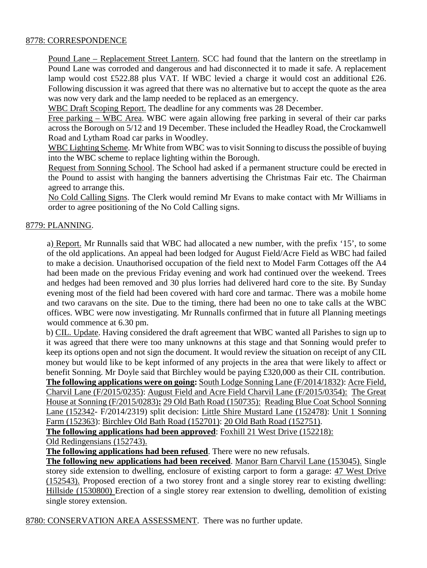## 8778: CORRESPONDENCE

Pound Lane – Replacement Street Lantern. SCC had found that the lantern on the streetlamp in Pound Lane was corroded and dangerous and had disconnected it to made it safe. A replacement lamp would cost £522.88 plus VAT. If WBC levied a charge it would cost an additional £26. Following discussion it was agreed that there was no alternative but to accept the quote as the area was now very dark and the lamp needed to be replaced as an emergency.

WBC Draft Scoping Report. The deadline for any comments was 28 December.

Free parking – WBC Area. WBC were again allowing free parking in several of their car parks across the Borough on 5/12 and 19 December. These included the Headley Road, the Crockamwell Road and Lytham Road car parks in Woodley.

WBC Lighting Scheme. Mr White from WBC was to visit Sonning to discuss the possible of buying into the WBC scheme to replace lighting within the Borough.

Request from Sonning School. The School had asked if a permanent structure could be erected in the Pound to assist with hanging the banners advertising the Christmas Fair etc. The Chairman agreed to arrange this.

No Cold Calling Signs. The Clerk would remind Mr Evans to make contact with Mr Williams in order to agree positioning of the No Cold Calling signs.

## 8779: PLANNING.

a) Report. Mr Runnalls said that WBC had allocated a new number, with the prefix '15', to some of the old applications. An appeal had been lodged for August Field/Acre Field as WBC had failed to make a decision. Unauthorised occupation of the field next to Model Farm Cottages off the A4 had been made on the previous Friday evening and work had continued over the weekend. Trees and hedges had been removed and 30 plus lorries had delivered hard core to the site. By Sunday evening most of the field had been covered with hard core and tarmac. There was a mobile home and two caravans on the site. Due to the timing, there had been no one to take calls at the WBC offices. WBC were now investigating. Mr Runnalls confirmed that in future all Planning meetings would commence at 6.30 pm.

b) CIL. Update. Having considered the draft agreement that WBC wanted all Parishes to sign up to it was agreed that there were too many unknowns at this stage and that Sonning would prefer to keep its options open and not sign the document. It would review the situation on receipt of any CIL money but would like to be kept informed of any projects in the area that were likely to affect or benefit Sonning. Mr Doyle said that Birchley would be paying £320,000 as their CIL contribution. **The following applications were on going:** South Lodge Sonning Lane (F/2014/1832): Acre Field, Charvil Lane (F/2015/0235): August Field and Acre Field Charvil Lane (F/2015/0354): The Great House at Sonning (F/2015/0283)**:** 29 Old Bath Road (150735): Reading Blue Coat School Sonning Lane (152342- F/2014/2319) split decision: Little Shire Mustard Lane (152478): Unit 1 Sonning Farm (152363): Birchley Old Bath Road (152701): 20 Old Bath Road (152751).

**The following applications had been approved**: Foxhill 21 West Drive (152218):

Old Redingensians (152743).

**The following applications had been refused**. There were no new refusals.

**The following new applications had been received**. Manor Barn Charvil Lane (153045). Single storey side extension to dwelling, enclosure of existing carport to form a garage: 47 West Drive (152543). Proposed erection of a two storey front and a single storey rear to existing dwelling: Hillside (1530800) Erection of a single storey rear extension to dwelling, demolition of existing single storey extension.

8780: CONSERVATION AREA ASSESSMENT. There was no further update.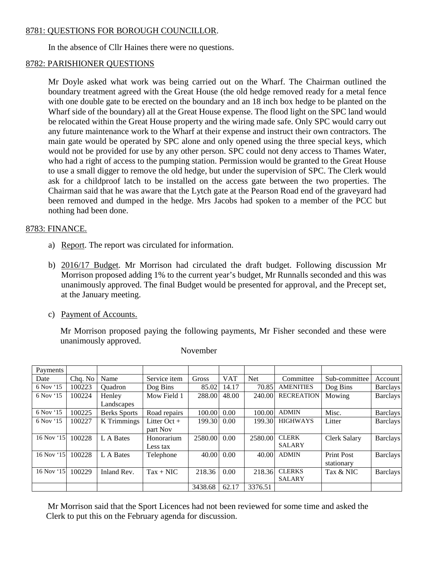## 8781: QUESTIONS FOR BOROUGH COUNCILLOR.

In the absence of Cllr Haines there were no questions.

## 8782: PARISHIONER QUESTIONS

Mr Doyle asked what work was being carried out on the Wharf. The Chairman outlined the boundary treatment agreed with the Great House (the old hedge removed ready for a metal fence with one double gate to be erected on the boundary and an 18 inch box hedge to be planted on the Wharf side of the boundary) all at the Great House expense. The flood light on the SPC land would be relocated within the Great House property and the wiring made safe. Only SPC would carry out any future maintenance work to the Wharf at their expense and instruct their own contractors. The main gate would be operated by SPC alone and only opened using the three special keys, which would not be provided for use by any other person. SPC could not deny access to Thames Water, who had a right of access to the pumping station. Permission would be granted to the Great House to use a small digger to remove the old hedge, but under the supervision of SPC. The Clerk would ask for a childproof latch to be installed on the access gate between the two properties. The Chairman said that he was aware that the Lytch gate at the Pearson Road end of the graveyard had been removed and dumped in the hedge. Mrs Jacobs had spoken to a member of the PCC but nothing had been done.

# 8783: FINANCE.

- a) Report. The report was circulated for information.
- b) 2016/17 Budget. Mr Morrison had circulated the draft budget. Following discussion Mr Morrison proposed adding 1% to the current year's budget, Mr Runnalls seconded and this was unanimously approved. The final Budget would be presented for approval, and the Precept set, at the January meeting.
- c) Payment of Accounts.

Mr Morrison proposed paying the following payments, Mr Fisher seconded and these were unanimously approved.

| Payments   |         |                     |                |         |            |            |                   |                     |                 |
|------------|---------|---------------------|----------------|---------|------------|------------|-------------------|---------------------|-----------------|
| Date       | Cha. No | Name                | Service item   | Gross   | <b>VAT</b> | <b>Net</b> | Committee         | Sub-committee       | Account         |
| 6 Nov '15  | 100223  | <b>Ouadron</b>      | Dog Bins       | 85.02   | 14.17      | 70.85      | <b>AMENITIES</b>  | Dog Bins            | <b>Barclays</b> |
| 6 Nov '15  | 100224  | Henley              | Mow Field 1    | 288.00  | 48.00      | 240.00     | <b>RECREATION</b> | Mowing              | <b>Barclays</b> |
|            |         | Landscapes          |                |         |            |            |                   |                     |                 |
| 6 Nov '15  | 100225  | <b>Berks Sports</b> | Road repairs   | 100.00  | 0.00       | 100.00     | <b>ADMIN</b>      | Misc.               | <b>Barclays</b> |
| 6 Nov '15  | 100227  | K Trimmings         | Litter $Oct +$ | 199.30  | 0.00       | 199.30     | <b>HIGHWAYS</b>   | Litter              | <b>Barclays</b> |
|            |         |                     | part Nov       |         |            |            |                   |                     |                 |
| 16 Nov '15 | 100228  | L A Bates           | Honorarium     | 2580.00 | 0.00       | 2580.00    | <b>CLERK</b>      | <b>Clerk Salary</b> | <b>Barclays</b> |
|            |         |                     | Less tax       |         |            |            | <b>SALARY</b>     |                     |                 |
| 16 Nov '15 | 100228  | L A Bates           | Telephone      | 40.00   | 0.00       | 40.00      | <b>ADMIN</b>      | <b>Print Post</b>   | <b>Barclays</b> |
|            |         |                     |                |         |            |            |                   | stationary          |                 |
| 16 Nov '15 | 100229  | Inland Rev.         | $Tax + NIC$    | 218.36  | 0.00       | 218.36     | <b>CLERKS</b>     | Tax & NIC           | <b>Barclays</b> |
|            |         |                     |                |         |            |            | <b>SALARY</b>     |                     |                 |
|            |         |                     |                | 3438.68 | 62.17      | 3376.51    |                   |                     |                 |

November

Mr Morrison said that the Sport Licences had not been reviewed for some time and asked the Clerk to put this on the February agenda for discussion.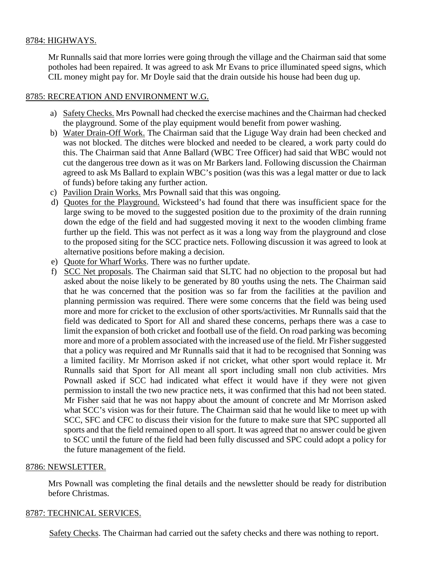## 8784: HIGHWAYS.

Mr Runnalls said that more lorries were going through the village and the Chairman said that some potholes had been repaired. It was agreed to ask Mr Evans to price illuminated speed signs, which CIL money might pay for. Mr Doyle said that the drain outside his house had been dug up.

## 8785: RECREATION AND ENVIRONMENT W.G.

- a) Safety Checks. Mrs Pownall had checked the exercise machines and the Chairman had checked the playground. Some of the play equipment would benefit from power washing.
- b) Water Drain-Off Work. The Chairman said that the Liguge Way drain had been checked and was not blocked. The ditches were blocked and needed to be cleared, a work party could do this. The Chairman said that Anne Ballard (WBC Tree Officer) had said that WBC would not cut the dangerous tree down as it was on Mr Barkers land. Following discussion the Chairman agreed to ask Ms Ballard to explain WBC's position (was this was a legal matter or due to lack of funds) before taking any further action.
- c) Pavilion Drain Works. Mrs Pownall said that this was ongoing.
- d) Quotes for the Playground. Wicksteed's had found that there was insufficient space for the large swing to be moved to the suggested position due to the proximity of the drain running down the edge of the field and had suggested moving it next to the wooden climbing frame further up the field. This was not perfect as it was a long way from the playground and close to the proposed siting for the SCC practice nets. Following discussion it was agreed to look at alternative positions before making a decision.
- e) Quote for Wharf Works. There was no further update.
- f) SCC Net proposals. The Chairman said that SLTC had no objection to the proposal but had asked about the noise likely to be generated by 80 youths using the nets. The Chairman said that he was concerned that the position was so far from the facilities at the pavilion and planning permission was required. There were some concerns that the field was being used more and more for cricket to the exclusion of other sports/activities. Mr Runnalls said that the field was dedicated to Sport for All and shared these concerns, perhaps there was a case to limit the expansion of both cricket and football use of the field. On road parking was becoming more and more of a problem associated with the increased use of the field. Mr Fisher suggested that a policy was required and Mr Runnalls said that it had to be recognised that Sonning was a limited facility. Mr Morrison asked if not cricket, what other sport would replace it. Mr Runnalls said that Sport for All meant all sport including small non club activities. Mrs Pownall asked if SCC had indicated what effect it would have if they were not given permission to install the two new practice nets, it was confirmed that this had not been stated. Mr Fisher said that he was not happy about the amount of concrete and Mr Morrison asked what SCC's vision was for their future. The Chairman said that he would like to meet up with SCC, SFC and CFC to discuss their vision for the future to make sure that SPC supported all sports and that the field remained open to all sport. It was agreed that no answer could be given to SCC until the future of the field had been fully discussed and SPC could adopt a policy for the future management of the field.

## 8786: NEWSLETTER.

Mrs Pownall was completing the final details and the newsletter should be ready for distribution before Christmas.

## 8787: TECHNICAL SERVICES.

Safety Checks. The Chairman had carried out the safety checks and there was nothing to report.